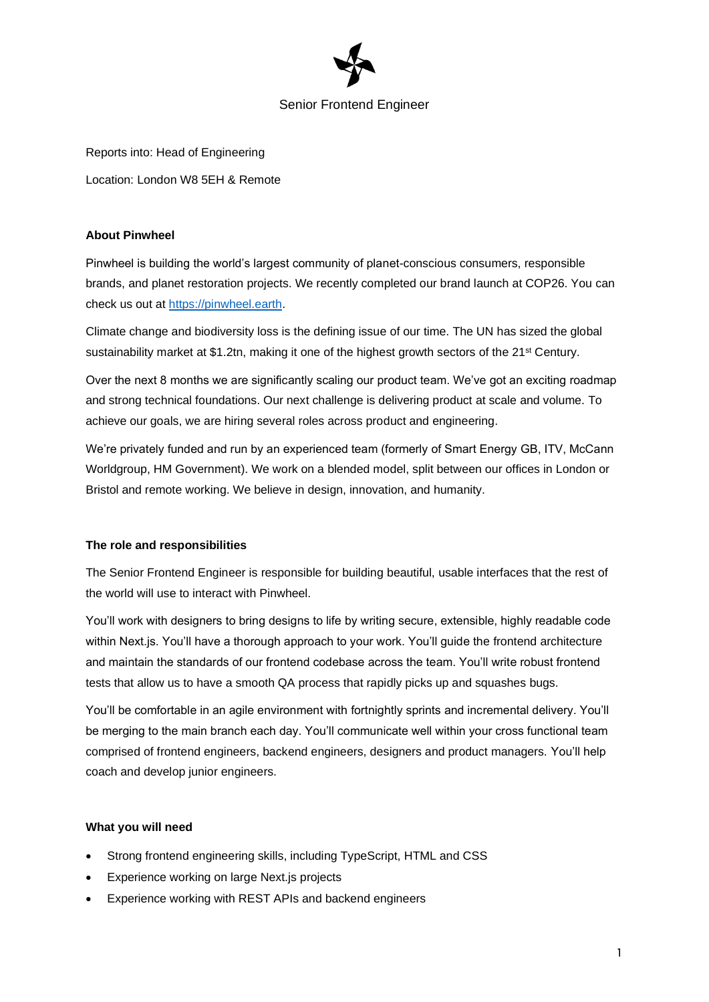

## Senior Frontend Engineer

Reports into: Head of Engineering Location: London W8 5EH & Remote

### **About Pinwheel**

Pinwheel is building the world's largest community of planet-conscious consumers, responsible brands, and planet restoration projects. We recently completed our brand launch at COP26. You can check us out at [https://pinwheel.earth.](https://pinwheel.earth/)

Climate change and biodiversity loss is the defining issue of our time. The UN has sized the global sustainability market at \$1.2tn, making it one of the highest growth sectors of the 21<sup>st</sup> Century.

Over the next 8 months we are significantly scaling our product team. We've got an exciting roadmap and strong technical foundations. Our next challenge is delivering product at scale and volume. To achieve our goals, we are hiring several roles across product and engineering.

We're privately funded and run by an experienced team (formerly of Smart Energy GB, ITV, McCann Worldgroup, HM Government). We work on a blended model, split between our offices in London or Bristol and remote working. We believe in design, innovation, and humanity.

### **The role and responsibilities**

The Senior Frontend Engineer is responsible for building beautiful, usable interfaces that the rest of the world will use to interact with Pinwheel.

You'll work with designers to bring designs to life by writing secure, extensible, highly readable code within Next.js. You'll have a thorough approach to your work. You'll guide the frontend architecture and maintain the standards of our frontend codebase across the team. You'll write robust frontend tests that allow us to have a smooth QA process that rapidly picks up and squashes bugs.

You'll be comfortable in an agile environment with fortnightly sprints and incremental delivery. You'll be merging to the main branch each day. You'll communicate well within your cross functional team comprised of frontend engineers, backend engineers, designers and product managers. You'll help coach and develop junior engineers.

### **What you will need**

- Strong frontend engineering skills, including TypeScript, HTML and CSS
- Experience working on large Next.js projects
- Experience working with REST APIs and backend engineers